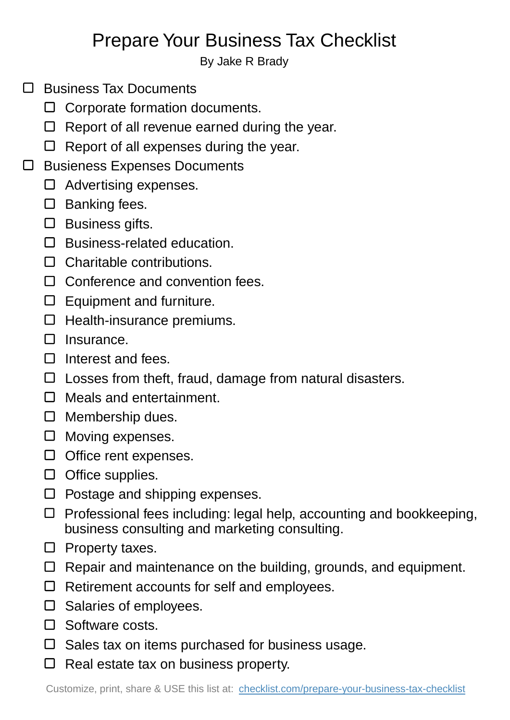## Prepare Your Business Tax Checklist

By Jake R Brady

- $\Box$  Business Tax Documents
	- $\Box$  Corporate formation documents.
	- $\Box$  Report of all revenue earned during the year.
	- $\Box$  Report of all expenses during the year.
- Busieness Expenses Documents
	- $\Box$  Advertising expenses.
	- $\square$  Banking fees.
	- $\square$  Business gifts.
	- $\square$  Business-related education.
	- $\Box$  Charitable contributions.
	- $\Box$  Conference and convention fees.
	- $\square$  Equipment and furniture.
	- $\Box$  Health-insurance premiums.
	- $\square$  Insurance.
	- $\Box$  Interest and fees.
	- $\Box$  Losses from theft, fraud, damage from natural disasters.
	- □ Meals and entertainment.
	- $\Box$  Membership dues.
	- $\Box$  Moving expenses.
	- $\Box$  Office rent expenses.
	- $\Box$  Office supplies.
	- $\Box$  Postage and shipping expenses.
	- $\Box$  Professional fees including: legal help, accounting and bookkeeping, business consulting and marketing consulting.
	- $\Box$  Property taxes.
	- $\Box$  Repair and maintenance on the building, grounds, and equipment.
	- $\Box$  Retirement accounts for self and employees.
	- $\square$  Salaries of employees.
	- □ Software costs.
	- $\square$  Sales tax on items purchased for business usage.
	- $\Box$  Real estate tax on business property.